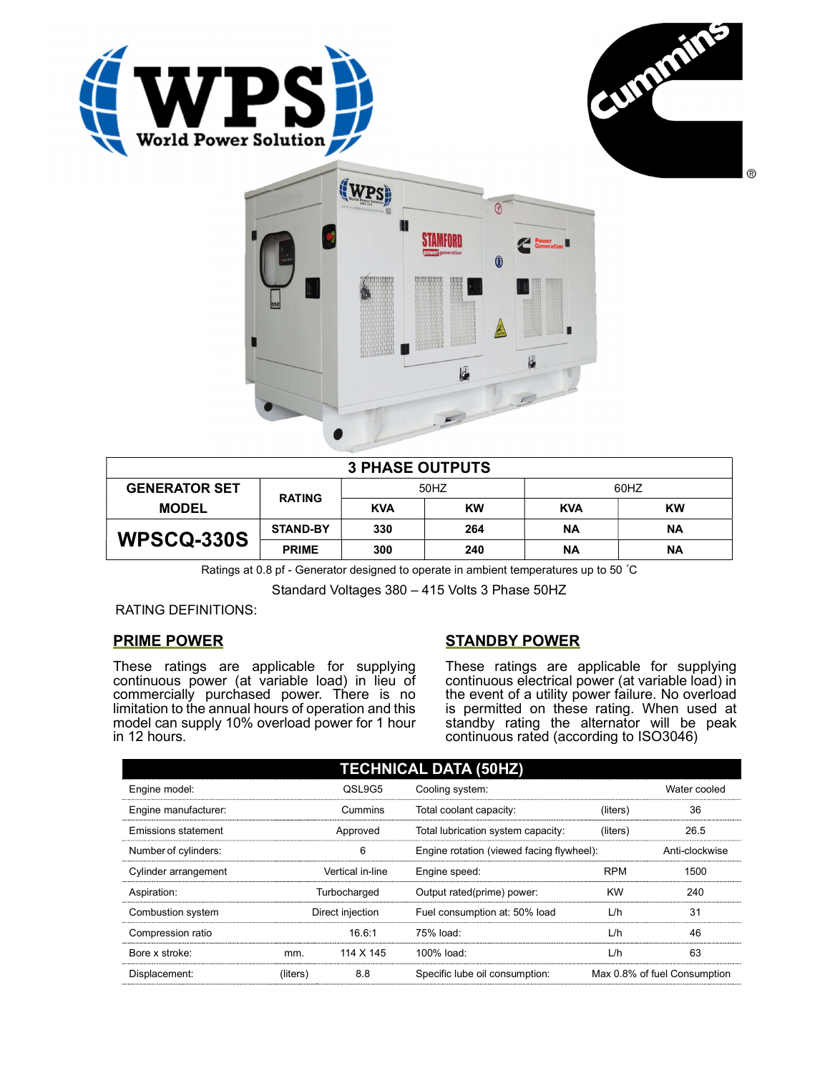





| <b>3 PHASE OUTPUTS</b> |                 |            |           |            |    |  |
|------------------------|-----------------|------------|-----------|------------|----|--|
| <b>GENERATOR SET</b>   | <b>RATING</b>   | 50HZ       |           | 60HZ       |    |  |
| <b>MODEL</b>           |                 | <b>KVA</b> | <b>KW</b> | <b>KVA</b> | KW |  |
| WPSCQ-330S             | <b>STAND-BY</b> | 330        | 264       | ΝA         | ΝA |  |
|                        | <b>PRIME</b>    | 300        | 240       | ΝA         | ΝA |  |

Ratings at 0.8 pf - Generator designed to operate in ambient temperatures up to 50 °C

Standard Voltages 380 – 415 Volts 3 Phase 50HZ

RATING DEFINITIONS:

## PRIME POWER

These ratings are applicable for supplying continuous power (at variable load) in lieu of commercially purchased power. There is no limitation to the annual hours of operation and this model can supply 10% overload power for 1 hour in 12 hours.

## STANDBY POWER

These ratings are applicable for supplying continuous electrical power (at variable load) in the event of a utility power failure. No overload is permitted on these rating. When used at standby rating the alternator will be peak continuous rated (according to ISO3046)

| <b>TECHNICAL DATA (50HZ)</b> |                  |           |                                           |            |                              |  |
|------------------------------|------------------|-----------|-------------------------------------------|------------|------------------------------|--|
| Engine model:                | QSL9G5           |           | Cooling system:                           |            | Water cooled                 |  |
| Engine manufacturer:         | Cummins          |           | Total coolant capacity:                   | (liters)   | 36                           |  |
| Emissions statement          | Approved         |           | Total lubrication system capacity:        | (liters)   | 26.5                         |  |
| Number of cylinders:         | 6                |           | Engine rotation (viewed facing flywheel): |            | Anti-clockwise               |  |
| Cylinder arrangement         | Vertical in-line |           | Engine speed:                             | <b>RPM</b> | 1500                         |  |
| Aspiration:                  | Turbocharged     |           | Output rated(prime) power:                | <b>KW</b>  | 240                          |  |
| Combustion system            | Direct injection |           | Fuel consumption at: 50% load             | L/h        | 31                           |  |
| Compression ratio            |                  | 16.6:1    | 75% load:                                 | L/h        | 46                           |  |
| Bore x stroke:               | mm.              | 114 X 145 | 100% load:                                | L/h        | 63                           |  |
| Displacement:                | (liters)         | 8.8       | Specific lube oil consumption:            |            | Max 0.8% of fuel Consumption |  |